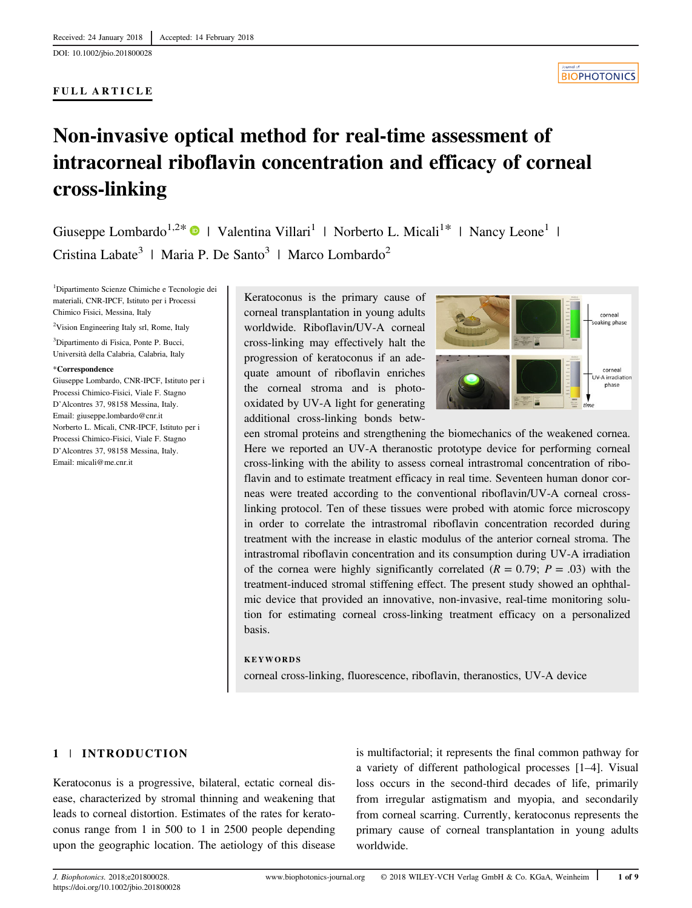DOI: 10.1002/jbio.201800028

## FULL ARTICLE

# Non-invasive optical method for real-time assessment of intracorneal riboflavin concentration and efficacy of corneal cross-linking

Giuseppe Lombardo<sup>1,2\*</sup>  $\bullet$  | Valentina Villari<sup>1</sup> | Norberto L. Micali<sup>1\*</sup> | Nancy Leone<sup>1</sup> | Cristina Labate<sup>3</sup> | Maria P. De Santo<sup>3</sup> | Marco Lombardo<sup>2</sup>

1 Dipartimento Scienze Chimiche e Tecnologie dei materiali, CNR-IPCF, Istituto per i Processi Chimico Fisici, Messina, Italy

<sup>2</sup>Vision Engineering Italy srl, Rome, Italy

3 Dipartimento di Fisica, Ponte P. Bucci, Università della Calabria, Calabria, Italy

#### \*Correspondence

Giuseppe Lombardo, CNR-IPCF, Istituto per i Processi Chimico-Fisici, Viale F. Stagno D'Alcontres 37, 98158 Messina, Italy. Email: giuseppe.lombardo@cnr.it Norberto L. Micali, CNR-IPCF, Istituto per i Processi Chimico-Fisici, Viale F. Stagno D'Alcontres 37, 98158 Messina, Italy. Email: micali@me.cnr.it

Keratoconus is the primary cause of corneal transplantation in young adults worldwide. Riboflavin/UV-A corneal cross-linking may effectively halt the progression of keratoconus if an adequate amount of riboflavin enriches the corneal stroma and is photooxidated by UV-A light for generating additional cross-linking bonds betw-



een stromal proteins and strengthening the biomechanics of the weakened cornea. Here we reported an UV-A theranostic prototype device for performing corneal cross-linking with the ability to assess corneal intrastromal concentration of riboflavin and to estimate treatment efficacy in real time. Seventeen human donor corneas were treated according to the conventional riboflavin/UV-A corneal crosslinking protocol. Ten of these tissues were probed with atomic force microscopy in order to correlate the intrastromal riboflavin concentration recorded during treatment with the increase in elastic modulus of the anterior corneal stroma. The intrastromal riboflavin concentration and its consumption during UV-A irradiation of the cornea were highly significantly correlated  $(R = 0.79; P = .03)$  with the treatment-induced stromal stiffening effect. The present study showed an ophthalmic device that provided an innovative, non-invasive, real-time monitoring solution for estimating corneal cross-linking treatment efficacy on a personalized basis.

## KEYWORDS

corneal cross-linking, fluorescence, riboflavin, theranostics, UV-A device

# 1 | INTRODUCTION

Keratoconus is a progressive, bilateral, ectatic corneal disease, characterized by stromal thinning and weakening that leads to corneal distortion. Estimates of the rates for keratoconus range from 1 in 500 to 1 in 2500 people depending upon the geographic location. The aetiology of this disease

is multifactorial; it represents the final common pathway for a variety of different pathological processes [1–4]. Visual loss occurs in the second-third decades of life, primarily from irregular astigmatism and myopia, and secondarily from corneal scarring. Currently, keratoconus represents the primary cause of corneal transplantation in young adults worldwide.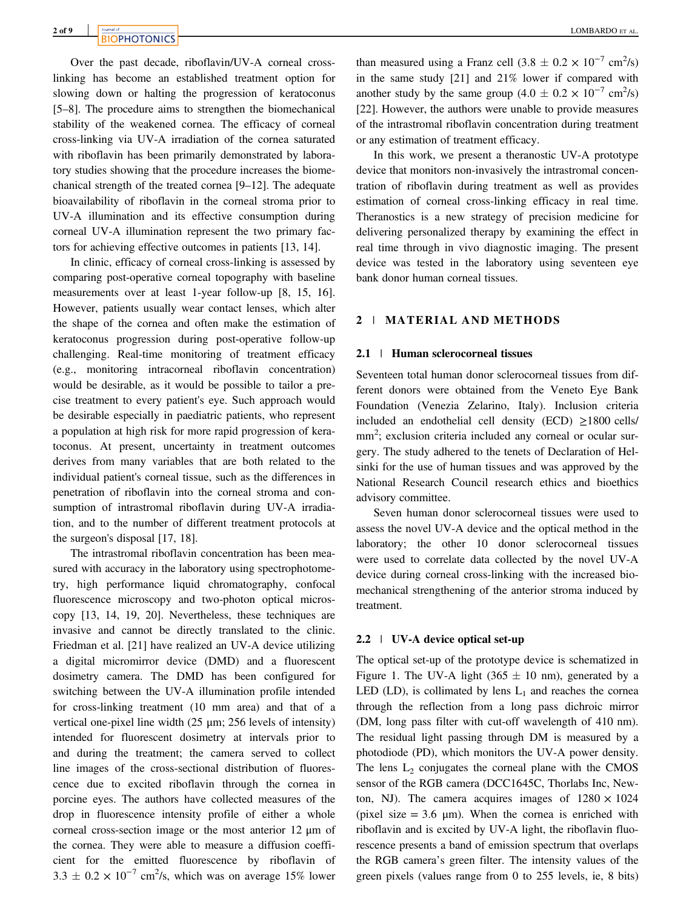# 2 of 9  $\Box$   $\Box$

Over the past decade, riboflavin/UV-A corneal crosslinking has become an established treatment option for slowing down or halting the progression of keratoconus [5–8]. The procedure aims to strengthen the biomechanical stability of the weakened cornea. The efficacy of corneal cross-linking via UV-A irradiation of the cornea saturated with riboflavin has been primarily demonstrated by laboratory studies showing that the procedure increases the biomechanical strength of the treated cornea [9–12]. The adequate bioavailability of riboflavin in the corneal stroma prior to UV-A illumination and its effective consumption during corneal UV-A illumination represent the two primary factors for achieving effective outcomes in patients [13, 14].

In clinic, efficacy of corneal cross-linking is assessed by comparing post-operative corneal topography with baseline measurements over at least 1-year follow-up [8, 15, 16]. However, patients usually wear contact lenses, which alter the shape of the cornea and often make the estimation of keratoconus progression during post-operative follow-up challenging. Real-time monitoring of treatment efficacy (e.g., monitoring intracorneal riboflavin concentration) would be desirable, as it would be possible to tailor a precise treatment to every patient's eye. Such approach would be desirable especially in paediatric patients, who represent a population at high risk for more rapid progression of keratoconus. At present, uncertainty in treatment outcomes derives from many variables that are both related to the individual patient's corneal tissue, such as the differences in penetration of riboflavin into the corneal stroma and consumption of intrastromal riboflavin during UV-A irradiation, and to the number of different treatment protocols at the surgeon's disposal [17, 18].

The intrastromal riboflavin concentration has been measured with accuracy in the laboratory using spectrophotometry, high performance liquid chromatography, confocal fluorescence microscopy and two-photon optical microscopy [13, 14, 19, 20]. Nevertheless, these techniques are invasive and cannot be directly translated to the clinic. Friedman et al. [21] have realized an UV-A device utilizing a digital micromirror device (DMD) and a fluorescent dosimetry camera. The DMD has been configured for switching between the UV-A illumination profile intended for cross-linking treatment (10 mm area) and that of a vertical one-pixel line width (25 μm; 256 levels of intensity) intended for fluorescent dosimetry at intervals prior to and during the treatment; the camera served to collect line images of the cross-sectional distribution of fluorescence due to excited riboflavin through the cornea in porcine eyes. The authors have collected measures of the drop in fluorescence intensity profile of either a whole corneal cross-section image or the most anterior 12 μm of the cornea. They were able to measure a diffusion coefficient for the emitted fluorescence by riboflavin of  $3.3 \pm 0.2 \times 10^{-7}$  cm<sup>2</sup>/s, which was on average 15% lower

than measured using a Franz cell  $(3.8 \pm 0.2 \times 10^{-7} \text{ cm}^2/\text{s})$ in the same study [21] and 21% lower if compared with another study by the same group  $(4.0 \pm 0.2 \times 10^{-7} \text{ cm}^2/\text{s})$ [22]. However, the authors were unable to provide measures of the intrastromal riboflavin concentration during treatment or any estimation of treatment efficacy.

In this work, we present a theranostic UV-A prototype device that monitors non-invasively the intrastromal concentration of riboflavin during treatment as well as provides estimation of corneal cross-linking efficacy in real time. Theranostics is a new strategy of precision medicine for delivering personalized therapy by examining the effect in real time through in vivo diagnostic imaging. The present device was tested in the laboratory using seventeen eye bank donor human corneal tissues.

## 2 | MATERIAL AND METHODS

## 2.1 | Human sclerocorneal tissues

Seventeen total human donor sclerocorneal tissues from different donors were obtained from the Veneto Eye Bank Foundation (Venezia Zelarino, Italy). Inclusion criteria included an endothelial cell density (ECD) ≥1800 cells/ mm<sup>2</sup>; exclusion criteria included any corneal or ocular surgery. The study adhered to the tenets of Declaration of Helsinki for the use of human tissues and was approved by the National Research Council research ethics and bioethics advisory committee.

Seven human donor sclerocorneal tissues were used to assess the novel UV-A device and the optical method in the laboratory; the other 10 donor sclerocorneal tissues were used to correlate data collected by the novel UV-A device during corneal cross-linking with the increased biomechanical strengthening of the anterior stroma induced by treatment.

#### 2.2 | UV-A device optical set-up

The optical set-up of the prototype device is schematized in Figure 1. The UV-A light (365  $\pm$  10 nm), generated by a LED (LD), is collimated by lens  $L_1$  and reaches the cornea through the reflection from a long pass dichroic mirror (DM, long pass filter with cut-off wavelength of 410 nm). The residual light passing through DM is measured by a photodiode (PD), which monitors the UV-A power density. The lens  $L_2$  conjugates the corneal plane with the CMOS sensor of the RGB camera (DCC1645C, Thorlabs Inc, Newton, NJ). The camera acquires images of  $1280 \times 1024$ (pixel size  $= 3.6$  µm). When the cornea is enriched with riboflavin and is excited by UV-A light, the riboflavin fluorescence presents a band of emission spectrum that overlaps the RGB camera's green filter. The intensity values of the green pixels (values range from 0 to 255 levels, ie, 8 bits)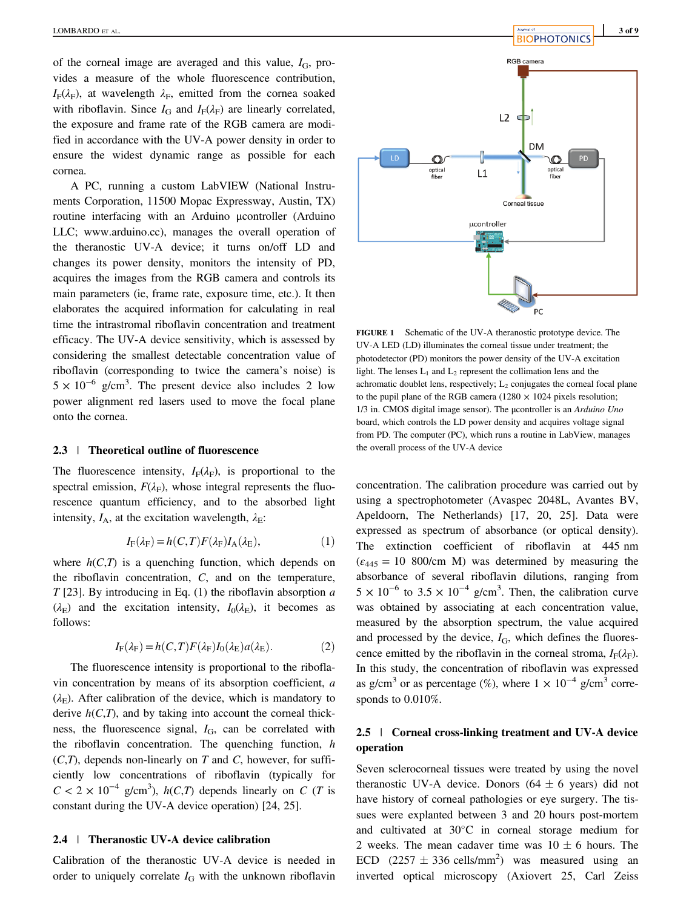of the corneal image are averaged and this value,  $I<sub>G</sub>$ , provides a measure of the whole fluorescence contribution,  $I_F(\lambda_F)$ , at wavelength  $\lambda_F$ , emitted from the cornea soaked with riboflavin. Since  $I_G$  and  $I_F(\lambda_F)$  are linearly correlated, the exposure and frame rate of the RGB camera are modified in accordance with the UV-A power density in order to ensure the widest dynamic range as possible for each cornea.

A PC, running a custom LabVIEW (National Instruments Corporation, 11500 Mopac Expressway, Austin, TX) routine interfacing with an Arduino μcontroller (Arduino LLC; [www.arduino.cc\)](http://www.arduino.cc), manages the overall operation of the theranostic UV-A device; it turns on/off LD and changes its power density, monitors the intensity of PD, acquires the images from the RGB camera and controls its main parameters (ie, frame rate, exposure time, etc.). It then elaborates the acquired information for calculating in real time the intrastromal riboflavin concentration and treatment efficacy. The UV-A device sensitivity, which is assessed by considering the smallest detectable concentration value of riboflavin (corresponding to twice the camera's noise) is  $5 \times 10^{-6}$  g/cm<sup>3</sup>. The present device also includes 2 low power alignment red lasers used to move the focal plane onto the cornea.

#### 2.3 | Theoretical outline of fluorescence

The fluorescence intensity,  $I_F(\lambda_F)$ , is proportional to the spectral emission,  $F(\lambda_F)$ , whose integral represents the fluorescence quantum efficiency, and to the absorbed light intensity,  $I_A$ , at the excitation wavelength,  $\lambda_E$ :

$$
I_{\mathcal{F}}(\lambda_{\mathcal{F}}) = h(C, T)F(\lambda_{\mathcal{F}})I_{\mathcal{A}}(\lambda_{\mathcal{E}}),
$$
\n(1)

where  $h(C,T)$  is a quenching function, which depends on the riboflavin concentration, C, and on the temperature,  $T$  [23]. By introducing in Eq. (1) the riboflavin absorption  $a$  $(\lambda_{\rm E})$  and the excitation intensity,  $I_0(\lambda_{\rm E})$ , it becomes as follows:

$$
I_{\mathcal{F}}(\lambda_{\mathcal{F}}) = h(C, T)F(\lambda_{\mathcal{F}})I_0(\lambda_{\mathcal{E}})a(\lambda_{\mathcal{E}}).
$$
 (2)

The fluorescence intensity is proportional to the riboflavin concentration by means of its absorption coefficient, a  $(\lambda_{\rm E})$ . After calibration of the device, which is mandatory to derive  $h(C,T)$ , and by taking into account the corneal thickness, the fluorescence signal,  $I_G$ , can be correlated with the riboflavin concentration. The quenching function,  $h$  $(C,T)$ , depends non-linearly on T and C, however, for sufficiently low concentrations of riboflavin (typically for  $C < 2 \times 10^{-4}$  g/cm<sup>3</sup>),  $h(C,T)$  depends linearly on C (T is constant during the UV-A device operation) [24, 25].

## 2.4 | Theranostic UV-A device calibration

Calibration of the theranostic UV-A device is needed in order to uniquely correlate  $I_G$  with the unknown riboflavin



FIGURE 1 Schematic of the UV-A theranostic prototype device. The UV-A LED (LD) illuminates the corneal tissue under treatment; the photodetector (PD) monitors the power density of the UV-A excitation light. The lenses  $L_1$  and  $L_2$  represent the collimation lens and the achromatic doublet lens, respectively;  $L_2$  conjugates the corneal focal plane to the pupil plane of the RGB camera (1280  $\times$  1024 pixels resolution; 1/3 in. CMOS digital image sensor). The μcontroller is an Arduino Uno board, which controls the LD power density and acquires voltage signal from PD. The computer (PC), which runs a routine in LabView, manages the overall process of the UV-A device

concentration. The calibration procedure was carried out by using a spectrophotometer (Avaspec 2048L, Avantes BV, Apeldoorn, The Netherlands) [17, 20, 25]. Data were expressed as spectrum of absorbance (or optical density). The extinction coefficient of riboflavin at 445 nm  $(\varepsilon_{445} = 10\,$  800/cm M) was determined by measuring the absorbance of several riboflavin dilutions, ranging from  $5 \times 10^{-6}$  to  $3.5 \times 10^{-4}$  g/cm<sup>3</sup>. Then, the calibration curve was obtained by associating at each concentration value, measured by the absorption spectrum, the value acquired and processed by the device,  $I_G$ , which defines the fluorescence emitted by the riboflavin in the corneal stroma,  $I_F(\lambda_F)$ . In this study, the concentration of riboflavin was expressed as g/cm<sup>3</sup> or as percentage (%), where  $1 \times 10^{-4}$  g/cm<sup>3</sup> corresponds to 0.010%.

# 2.5 | Corneal cross-linking treatment and UV-A device operation

Seven sclerocorneal tissues were treated by using the novel theranostic UV-A device. Donors  $(64 \pm 6$  years) did not have history of corneal pathologies or eye surgery. The tissues were explanted between 3 and 20 hours post-mortem and cultivated at  $30^{\circ}$ C in corneal storage medium for 2 weeks. The mean cadaver time was  $10 \pm 6$  hours. The ECD  $(2257 \pm 336 \text{ cells/mm}^2)$  was measured using an inverted optical microscopy (Axiovert 25, Carl Zeiss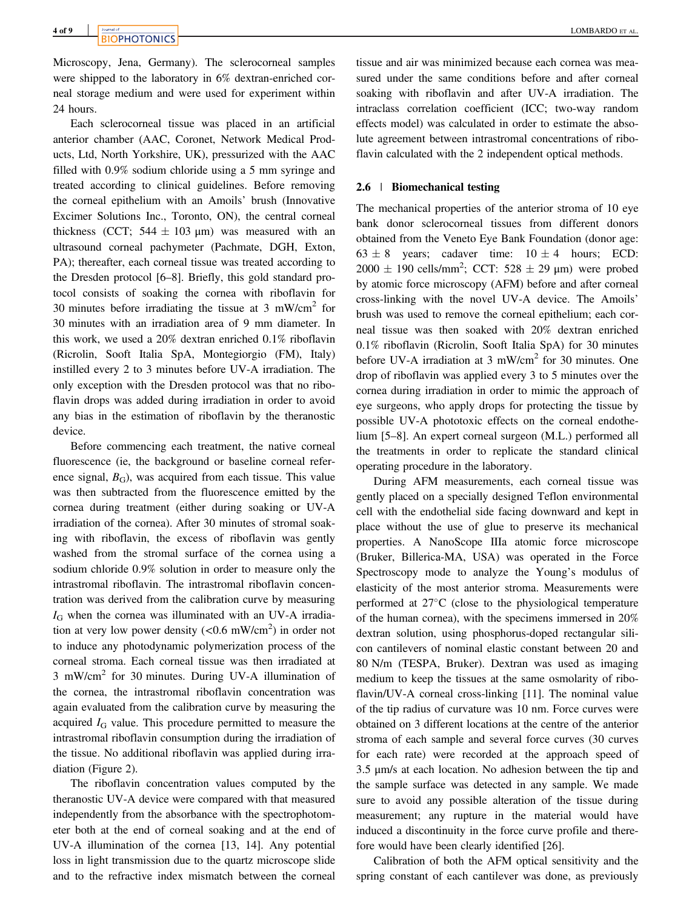Microscopy, Jena, Germany). The sclerocorneal samples were shipped to the laboratory in 6% dextran-enriched corneal storage medium and were used for experiment within 24 hours.

Each sclerocorneal tissue was placed in an artificial anterior chamber (AAC, Coronet, Network Medical Products, Ltd, North Yorkshire, UK), pressurized with the AAC filled with 0.9% sodium chloride using a 5 mm syringe and treated according to clinical guidelines. Before removing the corneal epithelium with an Amoils' brush (Innovative Excimer Solutions Inc., Toronto, ON), the central corneal thickness (CCT;  $544 \pm 103 \text{ }\mu\text{m}$ ) was measured with an ultrasound corneal pachymeter (Pachmate, DGH, Exton, PA); thereafter, each corneal tissue was treated according to the Dresden protocol [6–8]. Briefly, this gold standard protocol consists of soaking the cornea with riboflavin for 30 minutes before irradiating the tissue at 3 mW/cm<sup>2</sup> for 30 minutes with an irradiation area of 9 mm diameter. In this work, we used a 20% dextran enriched 0.1% riboflavin (Ricrolin, Sooft Italia SpA, Montegiorgio (FM), Italy) instilled every 2 to 3 minutes before UV-A irradiation. The only exception with the Dresden protocol was that no riboflavin drops was added during irradiation in order to avoid any bias in the estimation of riboflavin by the theranostic device.

Before commencing each treatment, the native corneal fluorescence (ie, the background or baseline corneal reference signal,  $B<sub>G</sub>$ ), was acquired from each tissue. This value was then subtracted from the fluorescence emitted by the cornea during treatment (either during soaking or UV-A irradiation of the cornea). After 30 minutes of stromal soaking with riboflavin, the excess of riboflavin was gently washed from the stromal surface of the cornea using a sodium chloride 0.9% solution in order to measure only the intrastromal riboflavin. The intrastromal riboflavin concentration was derived from the calibration curve by measuring  $I_G$  when the cornea was illuminated with an UV-A irradiation at very low power density  $(< 0.6$  mW/cm<sup>2</sup>) in order not to induce any photodynamic polymerization process of the corneal stroma. Each corneal tissue was then irradiated at 3 mW/cm<sup>2</sup> for 30 minutes. During UV-A illumination of the cornea, the intrastromal riboflavin concentration was again evaluated from the calibration curve by measuring the acquired  $I<sub>G</sub>$  value. This procedure permitted to measure the intrastromal riboflavin consumption during the irradiation of the tissue. No additional riboflavin was applied during irradiation (Figure 2).

The riboflavin concentration values computed by the theranostic UV-A device were compared with that measured independently from the absorbance with the spectrophotometer both at the end of corneal soaking and at the end of UV-A illumination of the cornea [13, 14]. Any potential loss in light transmission due to the quartz microscope slide and to the refractive index mismatch between the corneal

tissue and air was minimized because each cornea was measured under the same conditions before and after corneal soaking with riboflavin and after UV-A irradiation. The intraclass correlation coefficient (ICC; two-way random effects model) was calculated in order to estimate the absolute agreement between intrastromal concentrations of riboflavin calculated with the 2 independent optical methods.

## 2.6 | Biomechanical testing

The mechanical properties of the anterior stroma of 10 eye bank donor sclerocorneal tissues from different donors obtained from the Veneto Eye Bank Foundation (donor age:  $63 \pm 8$  years; cadaver time:  $10 \pm 4$  hours; ECD:  $2000 \pm 190$  cells/mm<sup>2</sup>; CCT:  $528 \pm 29$  µm) were probed by atomic force microscopy (AFM) before and after corneal cross-linking with the novel UV-A device. The Amoils' brush was used to remove the corneal epithelium; each corneal tissue was then soaked with 20% dextran enriched 0.1% riboflavin (Ricrolin, Sooft Italia SpA) for 30 minutes before UV-A irradiation at 3 mW/cm<sup>2</sup> for 30 minutes. One drop of riboflavin was applied every 3 to 5 minutes over the cornea during irradiation in order to mimic the approach of eye surgeons, who apply drops for protecting the tissue by possible UV-A phototoxic effects on the corneal endothelium [5–8]. An expert corneal surgeon (M.L.) performed all the treatments in order to replicate the standard clinical operating procedure in the laboratory.

During AFM measurements, each corneal tissue was gently placed on a specially designed Teflon environmental cell with the endothelial side facing downward and kept in place without the use of glue to preserve its mechanical properties. A NanoScope IIIa atomic force microscope (Bruker, Billerica-MA, USA) was operated in the Force Spectroscopy mode to analyze the Young's modulus of elasticity of the most anterior stroma. Measurements were performed at  $27^{\circ}$ C (close to the physiological temperature of the human cornea), with the specimens immersed in 20% dextran solution, using phosphorus-doped rectangular silicon cantilevers of nominal elastic constant between 20 and 80 N/m (TESPA, Bruker). Dextran was used as imaging medium to keep the tissues at the same osmolarity of riboflavin/UV-A corneal cross-linking [11]. The nominal value of the tip radius of curvature was 10 nm. Force curves were obtained on 3 different locations at the centre of the anterior stroma of each sample and several force curves (30 curves for each rate) were recorded at the approach speed of 3.5 μm/s at each location. No adhesion between the tip and the sample surface was detected in any sample. We made sure to avoid any possible alteration of the tissue during measurement; any rupture in the material would have induced a discontinuity in the force curve profile and therefore would have been clearly identified [26].

Calibration of both the AFM optical sensitivity and the spring constant of each cantilever was done, as previously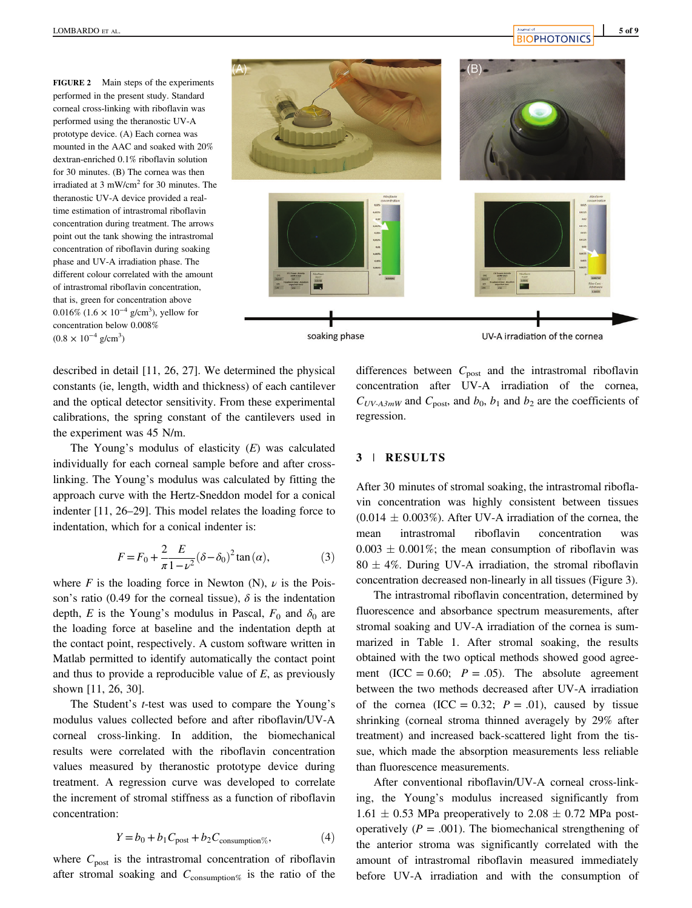FIGURE 2 Main steps of the experiments performed in the present study. Standard corneal cross-linking with riboflavin was performed using the theranostic UV-A prototype device. (A) Each cornea was mounted in the AAC and soaked with 20% dextran-enriched 0.1% riboflavin solution for 30 minutes. (B) The cornea was then irradiated at 3 mW/cm<sup>2</sup> for 30 minutes. The theranostic UV-A device provided a realtime estimation of intrastromal riboflavin concentration during treatment. The arrows point out the tank showing the intrastromal concentration of riboflavin during soaking phase and UV-A irradiation phase. The different colour correlated with the amount of intrastromal riboflavin concentration, that is, green for concentration above 0.016% (1.6 × 10<sup>-4</sup> g/cm<sup>3</sup>), yellow for concentration below 0.008%  $(0.8 \times 10^{-4} \text{ g/cm}^3)$ 



described in detail [11, 26, 27]. We determined the physical constants (ie, length, width and thickness) of each cantilever and the optical detector sensitivity. From these experimental calibrations, the spring constant of the cantilevers used in the experiment was 45 N/m.

The Young's modulus of elasticity  $(E)$  was calculated individually for each corneal sample before and after crosslinking. The Young's modulus was calculated by fitting the approach curve with the Hertz-Sneddon model for a conical indenter [11, 26–29]. This model relates the loading force to indentation, which for a conical indenter is:

$$
F = F_0 + \frac{2}{\pi} \frac{E}{1 - \nu^2} (\delta - \delta_0)^2 \tan(\alpha),\tag{3}
$$

where F is the loading force in Newton (N),  $\nu$  is the Poisson's ratio (0.49 for the corneal tissue),  $\delta$  is the indentation depth, E is the Young's modulus in Pascal,  $F_0$  and  $\delta_0$  are the loading force at baseline and the indentation depth at the contact point, respectively. A custom software written in Matlab permitted to identify automatically the contact point and thus to provide a reproducible value of  $E$ , as previously shown [11, 26, 30].

The Student's t-test was used to compare the Young's modulus values collected before and after riboflavin/UV-A corneal cross-linking. In addition, the biomechanical results were correlated with the riboflavin concentration values measured by theranostic prototype device during treatment. A regression curve was developed to correlate the increment of stromal stiffness as a function of riboflavin concentration:

$$
Y = b_0 + b_1 C_{\text{post}} + b_2 C_{\text{consumption}\%},\tag{4}
$$

where  $C_{\text{post}}$  is the intrastromal concentration of riboflavin after stromal soaking and  $C_{\text{consumption}\%}$  is the ratio of the differences between  $C_{\text{post}}$  and the intrastromal riboflavin concentration after UV-A irradiation of the cornea,  $C_{UV-A3mW}$  and  $C_{post}$ , and  $b_0$ ,  $b_1$  and  $b_2$  are the coefficients of regression.

## 3 | RESULTS

After 30 minutes of stromal soaking, the intrastromal riboflavin concentration was highly consistent between tissues  $(0.014 \pm 0.003\%)$ . After UV-A irradiation of the cornea, the mean intrastromal riboflavin concentration was mean intrastromal riboflavin concentration was  $0.003 \pm 0.001\%$ ; the mean consumption of riboflavin was  $80 \pm 4\%$ . During UV-A irradiation, the stromal riboflavin concentration decreased non-linearly in all tissues (Figure 3).

The intrastromal riboflavin concentration, determined by fluorescence and absorbance spectrum measurements, after stromal soaking and UV-A irradiation of the cornea is summarized in Table 1. After stromal soaking, the results obtained with the two optical methods showed good agreement (ICC = 0.60;  $P = .05$ ). The absolute agreement between the two methods decreased after UV-A irradiation of the cornea (ICC =  $0.32$ ;  $P = .01$ ), caused by tissue shrinking (corneal stroma thinned averagely by 29% after treatment) and increased back-scattered light from the tissue, which made the absorption measurements less reliable than fluorescence measurements.

After conventional riboflavin/UV-A corneal cross-linking, the Young's modulus increased significantly from  $1.61 \pm 0.53$  MPa preoperatively to  $2.08 \pm 0.72$  MPa postoperatively ( $P = .001$ ). The biomechanical strengthening of the anterior stroma was significantly correlated with the amount of intrastromal riboflavin measured immediately before UV-A irradiation and with the consumption of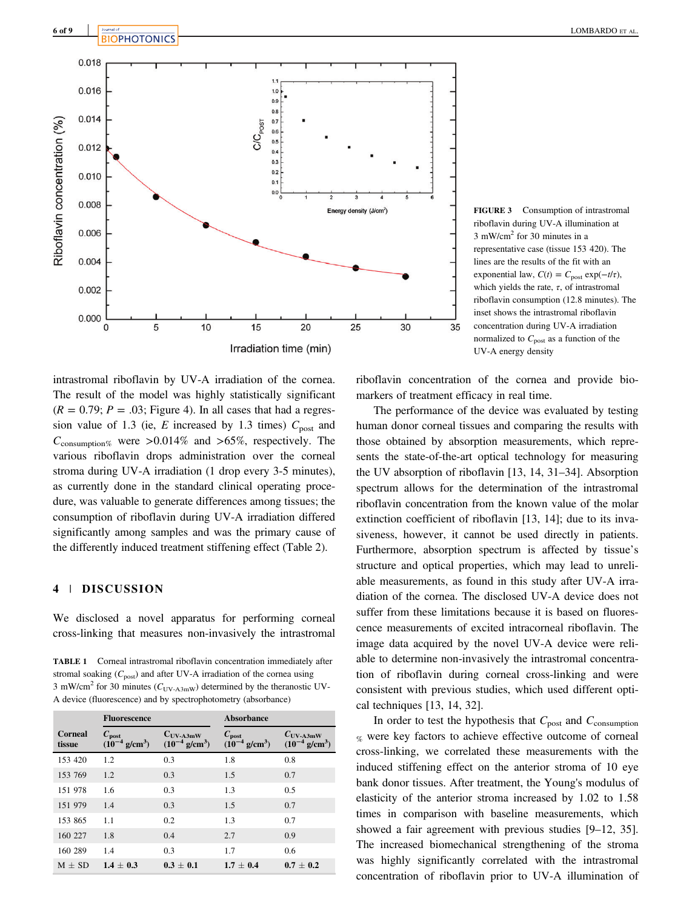

intrastromal riboflavin by UV-A irradiation of the cornea. The result of the model was highly statistically significant  $(R = 0.79; P = .03;$  Figure 4). In all cases that had a regression value of 1.3 (ie, E increased by 1.3 times)  $C_{\text{post}}$  and  $C_{\text{consumption}\%}$  were >0.014% and >65%, respectively. The various riboflavin drops administration over the corneal stroma during UV-A irradiation (1 drop every 3-5 minutes), as currently done in the standard clinical operating procedure, was valuable to generate differences among tissues; the consumption of riboflavin during UV-A irradiation differed significantly among samples and was the primary cause of the differently induced treatment stiffening effect (Table 2).

# 4 | DISCUSSION

We disclosed a novel apparatus for performing corneal cross-linking that measures non-invasively the intrastromal

TABLE 1 Corneal intrastromal riboflavin concentration immediately after stromal soaking  $(C_{post})$  and after UV-A irradiation of the cornea using 3 mW/cm<sup>2</sup> for 30 minutes ( $C_{UV\text{-}A3mW}$ ) determined by the theranostic UV-A device (fluorescence) and by spectrophotometry (absorbance)

|                   | <b>Fluorescence</b>                             |                                             | <b>Absorbance</b>                               |                                                    |
|-------------------|-------------------------------------------------|---------------------------------------------|-------------------------------------------------|----------------------------------------------------|
| Corneal<br>tissue | $C_{\text{post}}$<br>$(10^{-4} \text{ g/cm}^3)$ | $C_{UV-A3mW}$<br>$(10^{-4} \text{ g/cm}^3)$ | $C_{\text{post}}$<br>$(10^{-4} \text{ g/cm}^3)$ | $C_{\text{UV-A3mW}}$<br>$(10^{-4} \text{ g/cm}^3)$ |
| 153 420           | 1.2                                             | 0.3                                         | 1.8                                             | 0.8                                                |
| 153 769           | 1.2                                             | 0.3                                         | 1.5                                             | 0.7                                                |
| 151 978           | 1.6                                             | 0.3                                         | 1.3                                             | 0.5                                                |
| 151 979           | 1.4                                             | 0.3                                         | 1.5                                             | 0.7                                                |
| 153 865           | 1.1                                             | 0.2                                         | 1.3                                             | 0.7                                                |
| 160 227           | 1.8                                             | 0.4                                         | 2.7                                             | 0.9                                                |
| 160 289           | 1.4                                             | 0.3                                         | 1.7                                             | 0.6                                                |
| $M + SD$          | $1.4 + 0.3$                                     | $0.3 + 0.1$                                 | $1.7 + 0.4$                                     | $0.7 + 0.2$                                        |

FIGURE 3 Consumption of intrastromal riboflavin during UV-A illumination at 3 mW/cm2 for 30 minutes in a representative case (tissue 153 420). The lines are the results of the fit with an exponential law,  $C(t) = C_{\text{post}} \exp(-t/\tau)$ , which yields the rate,  $\tau$ , of intrastromal riboflavin consumption (12.8 minutes). The inset shows the intrastromal riboflavin concentration during UV-A irradiation normalized to  $C_{\text{post}}$  as a function of the UV-A energy density

riboflavin concentration of the cornea and provide biomarkers of treatment efficacy in real time.

The performance of the device was evaluated by testing human donor corneal tissues and comparing the results with those obtained by absorption measurements, which represents the state-of-the-art optical technology for measuring the UV absorption of riboflavin [13, 14, 31–34]. Absorption spectrum allows for the determination of the intrastromal riboflavin concentration from the known value of the molar extinction coefficient of riboflavin [13, 14]; due to its invasiveness, however, it cannot be used directly in patients. Furthermore, absorption spectrum is affected by tissue's structure and optical properties, which may lead to unreliable measurements, as found in this study after UV-A irradiation of the cornea. The disclosed UV-A device does not suffer from these limitations because it is based on fluorescence measurements of excited intracorneal riboflavin. The image data acquired by the novel UV-A device were reliable to determine non-invasively the intrastromal concentration of riboflavin during corneal cross-linking and were consistent with previous studies, which used different optical techniques [13, 14, 32].

In order to test the hypothesis that  $C_{\text{post}}$  and  $C_{\text{consumption}}$ % were key factors to achieve effective outcome of corneal cross-linking, we correlated these measurements with the induced stiffening effect on the anterior stroma of 10 eye bank donor tissues. After treatment, the Young's modulus of elasticity of the anterior stroma increased by 1.02 to 1.58 times in comparison with baseline measurements, which showed a fair agreement with previous studies [9–12, 35]. The increased biomechanical strengthening of the stroma was highly significantly correlated with the intrastromal concentration of riboflavin prior to UV-A illumination of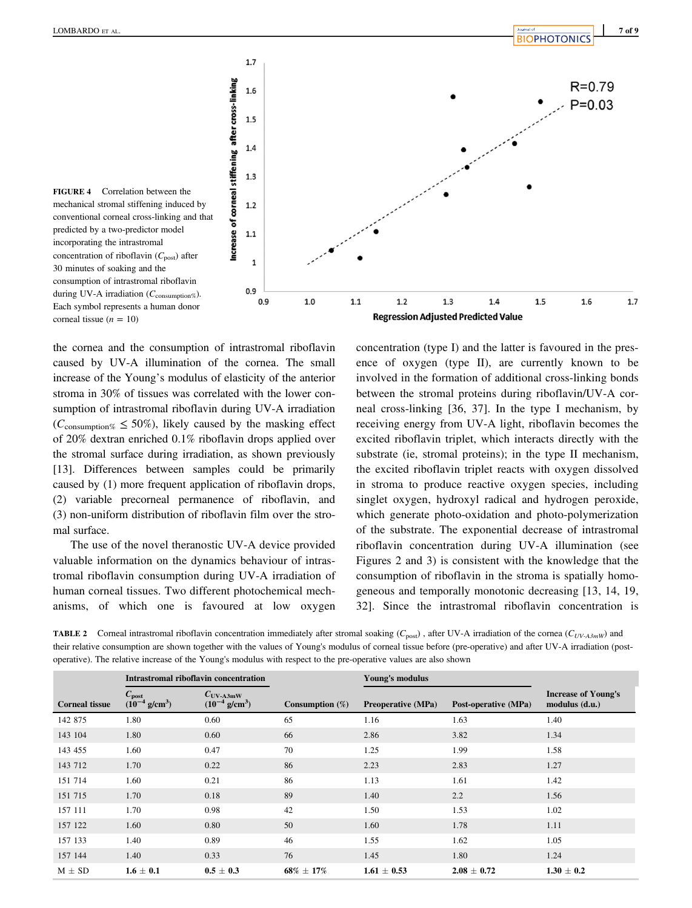

the cornea and the consumption of intrastromal riboflavin caused by UV-A illumination of the cornea. The small increase of the Young's modulus of elasticity of the anterior stroma in 30% of tissues was correlated with the lower consumption of intrastromal riboflavin during UV-A irradiation  $(C_{\text{consumption}\%} \le 50\%)$ , likely caused by the masking effect of 20% dextran enriched 0.1% riboflavin drops applied over the stromal surface during irradiation, as shown previously [13]. Differences between samples could be primarily caused by (1) more frequent application of riboflavin drops, (2) variable precorneal permanence of riboflavin, and (3) non-uniform distribution of riboflavin film over the stromal surface. during UV-A irradiation ( $C_{\text{consumption}\%}$ ). Each symbol represents a human donor corneal tissue ( $n = 10$ )

The use of the novel theranostic UV-A device provided valuable information on the dynamics behaviour of intrastromal riboflavin consumption during UV-A irradiation of human corneal tissues. Two different photochemical mechanisms, of which one is favoured at low oxygen concentration (type I) and the latter is favoured in the presence of oxygen (type II), are currently known to be involved in the formation of additional cross-linking bonds between the stromal proteins during riboflavin/UV-A corneal cross-linking [36, 37]. In the type I mechanism, by receiving energy from UV-A light, riboflavin becomes the excited riboflavin triplet, which interacts directly with the substrate (ie, stromal proteins); in the type II mechanism, the excited riboflavin triplet reacts with oxygen dissolved in stroma to produce reactive oxygen species, including singlet oxygen, hydroxyl radical and hydrogen peroxide, which generate photo-oxidation and photo-polymerization of the substrate. The exponential decrease of intrastromal riboflavin concentration during UV-A illumination (see Figures 2 and 3) is consistent with the knowledge that the consumption of riboflavin in the stroma is spatially homogeneous and temporally monotonic decreasing [13, 14, 19, 32]. Since the intrastromal riboflavin concentration is

**TABLE 2** Corneal intrastromal riboflavin concentration immediately after stromal soaking ( $C_{post}$ ), after UV-A irradiation of the cornea ( $C_{UV\rightarrow 3mW}$ ) and their relative consumption are shown together with the values of Young's modulus of corneal tissue before (pre-operative) and after UV-A irradiation (postoperative). The relative increase of the Young's modulus with respect to the pre-operative values are also shown

|                       | <b>Intrastromal riboflavin concentration</b>    |                                             |                    | Young's modulus           |                      |                                              |
|-----------------------|-------------------------------------------------|---------------------------------------------|--------------------|---------------------------|----------------------|----------------------------------------------|
| <b>Corneal tissue</b> | $C_{\text{post}}$<br>$(10^{-4} \text{ g/cm}^3)$ | $C_{UV-A3mW}$<br>$(10^{-4} \text{ g/cm}^3)$ | Consumption $(\%)$ | <b>Preoperative (MPa)</b> | Post-operative (MPa) | <b>Increase of Young's</b><br>modulus (d.u.) |
| 142 875               | 1.80                                            | 0.60                                        | 65                 | 1.16                      | 1.63                 | 1.40                                         |
| 143 104               | 1.80                                            | 0.60                                        | 66                 | 2.86                      | 3.82                 | 1.34                                         |
| 143 455               | 1.60                                            | 0.47                                        | 70                 | 1.25                      | 1.99                 | 1.58                                         |
| 143 712               | 1.70                                            | 0.22                                        | 86                 | 2.23                      | 2.83                 | 1.27                                         |
| 151 714               | 1.60                                            | 0.21                                        | 86                 | 1.13                      | 1.61                 | 1.42                                         |
| 151 715               | 1.70                                            | 0.18                                        | 89                 | 1.40                      | 2.2                  | 1.56                                         |
| 157 111               | 1.70                                            | 0.98                                        | 42                 | 1.50                      | 1.53                 | 1.02                                         |
| 157 122               | 1.60                                            | 0.80                                        | 50                 | 1.60                      | 1.78                 | 1.11                                         |
| 157 133               | 1.40                                            | 0.89                                        | 46                 | 1.55                      | 1.62                 | 1.05                                         |
| 157 144               | 1.40                                            | 0.33                                        | 76                 | 1.45                      | 1.80                 | 1.24                                         |
| $M \pm SD$            | $1.6 \pm 0.1$                                   | $0.5 \pm 0.3$                               | $68\% \pm 17\%$    | $1.61 \pm 0.53$           | $2.08 \pm 0.72$      | $1.30 \pm 0.2$                               |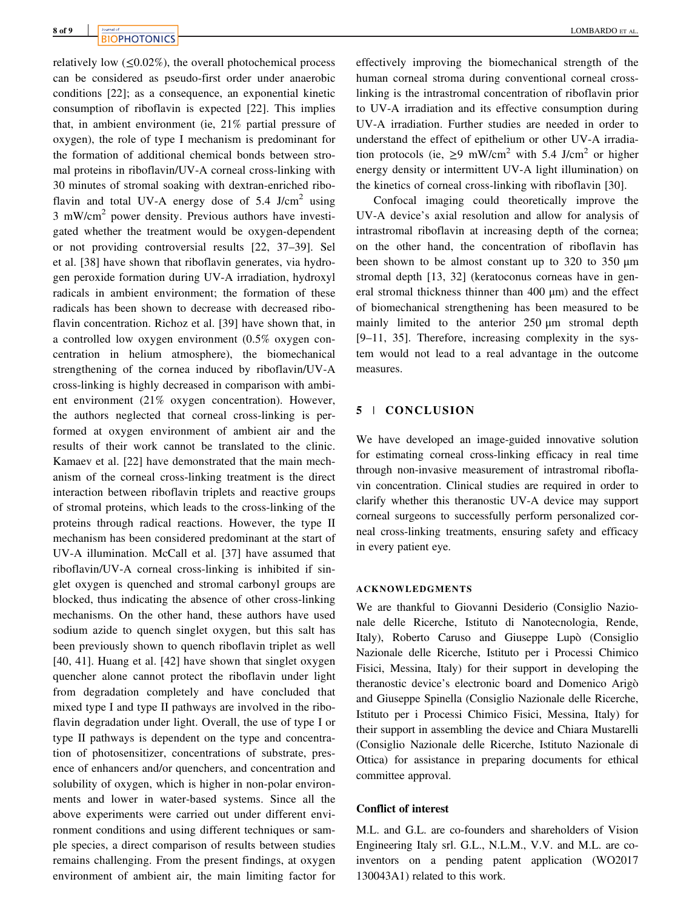**8 of 9 COMBARDO ET AL. COMBARDO ET AL.** 

relatively low  $(\leq 0.02\%)$ , the overall photochemical process can be considered as pseudo-first order under anaerobic conditions [22]; as a consequence, an exponential kinetic consumption of riboflavin is expected [22]. This implies that, in ambient environment (ie, 21% partial pressure of oxygen), the role of type I mechanism is predominant for the formation of additional chemical bonds between stromal proteins in riboflavin/UV-A corneal cross-linking with 30 minutes of stromal soaking with dextran-enriched riboflavin and total UV-A energy dose of  $5.4$  J/cm<sup>2</sup> using 3 mW/cm<sup>2</sup> power density. Previous authors have investigated whether the treatment would be oxygen-dependent or not providing controversial results [22, 37–39]. Sel et al. [38] have shown that riboflavin generates, via hydrogen peroxide formation during UV-A irradiation, hydroxyl radicals in ambient environment; the formation of these radicals has been shown to decrease with decreased riboflavin concentration. Richoz et al. [39] have shown that, in a controlled low oxygen environment (0.5% oxygen concentration in helium atmosphere), the biomechanical strengthening of the cornea induced by riboflavin/UV-A cross-linking is highly decreased in comparison with ambient environment (21% oxygen concentration). However, the authors neglected that corneal cross-linking is performed at oxygen environment of ambient air and the results of their work cannot be translated to the clinic. Kamaev et al. [22] have demonstrated that the main mechanism of the corneal cross-linking treatment is the direct interaction between riboflavin triplets and reactive groups of stromal proteins, which leads to the cross-linking of the proteins through radical reactions. However, the type II mechanism has been considered predominant at the start of UV-A illumination. McCall et al. [37] have assumed that riboflavin/UV-A corneal cross-linking is inhibited if singlet oxygen is quenched and stromal carbonyl groups are blocked, thus indicating the absence of other cross-linking mechanisms. On the other hand, these authors have used sodium azide to quench singlet oxygen, but this salt has been previously shown to quench riboflavin triplet as well [40, 41]. Huang et al. [42] have shown that singlet oxygen quencher alone cannot protect the riboflavin under light from degradation completely and have concluded that mixed type I and type II pathways are involved in the riboflavin degradation under light. Overall, the use of type I or type II pathways is dependent on the type and concentration of photosensitizer, concentrations of substrate, presence of enhancers and/or quenchers, and concentration and solubility of oxygen, which is higher in non-polar environments and lower in water-based systems. Since all the above experiments were carried out under different environment conditions and using different techniques or sample species, a direct comparison of results between studies remains challenging. From the present findings, at oxygen environment of ambient air, the main limiting factor for effectively improving the biomechanical strength of the human corneal stroma during conventional corneal crosslinking is the intrastromal concentration of riboflavin prior to UV-A irradiation and its effective consumption during UV-A irradiation. Further studies are needed in order to understand the effect of epithelium or other UV-A irradiation protocols (ie, >9 mW/cm<sup>2</sup> with 5.4 J/cm<sup>2</sup> or higher energy density or intermittent UV-A light illumination) on the kinetics of corneal cross-linking with riboflavin [30].

Confocal imaging could theoretically improve the UV-A device's axial resolution and allow for analysis of intrastromal riboflavin at increasing depth of the cornea; on the other hand, the concentration of riboflavin has been shown to be almost constant up to 320 to 350 μm stromal depth [13, 32] (keratoconus corneas have in general stromal thickness thinner than 400 μm) and the effect of biomechanical strengthening has been measured to be mainly limited to the anterior 250 μm stromal depth [9–11, 35]. Therefore, increasing complexity in the system would not lead to a real advantage in the outcome measures.

## 5 | CONCLUSION

We have developed an image-guided innovative solution for estimating corneal cross-linking efficacy in real time through non-invasive measurement of intrastromal riboflavin concentration. Clinical studies are required in order to clarify whether this theranostic UV-A device may support corneal surgeons to successfully perform personalized corneal cross-linking treatments, ensuring safety and efficacy in every patient eye.

## ACKNOWLEDGMENTS

We are thankful to Giovanni Desiderio (Consiglio Nazionale delle Ricerche, Istituto di Nanotecnologia, Rende, Italy), Roberto Caruso and Giuseppe Lupò (Consiglio Nazionale delle Ricerche, Istituto per i Processi Chimico Fisici, Messina, Italy) for their support in developing the theranostic device's electronic board and Domenico Arigò and Giuseppe Spinella (Consiglio Nazionale delle Ricerche, Istituto per i Processi Chimico Fisici, Messina, Italy) for their support in assembling the device and Chiara Mustarelli (Consiglio Nazionale delle Ricerche, Istituto Nazionale di Ottica) for assistance in preparing documents for ethical committee approval.

# Conflict of interest

M.L. and G.L. are co-founders and shareholders of Vision Engineering Italy srl. G.L., N.L.M., V.V. and M.L. are coinventors on a pending patent application (WO2017 130043A1) related to this work.